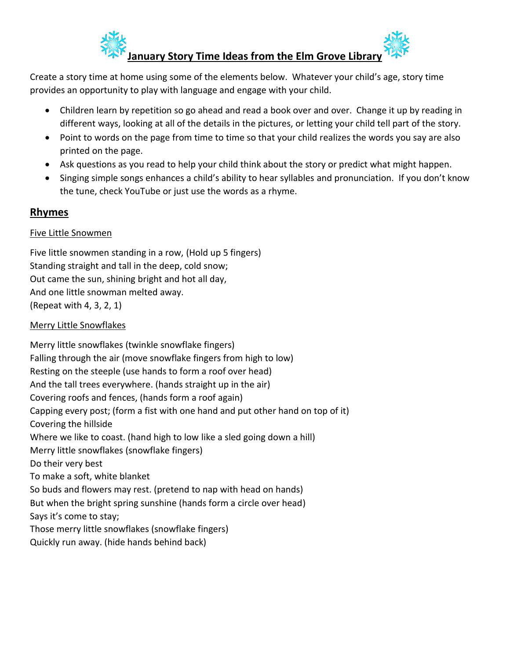

Create a story time at home using some of the elements below. Whatever your child's age, story time provides an opportunity to play with language and engage with your child.

- Children learn by repetition so go ahead and read a book over and over. Change it up by reading in different ways, looking at all of the details in the pictures, or letting your child tell part of the story.
- Point to words on the page from time to time so that your child realizes the words you say are also printed on the page.
- Ask questions as you read to help your child think about the story or predict what might happen.
- Singing simple songs enhances a child's ability to hear syllables and pronunciation. If you don't know the tune, check YouTube or just use the words as a rhyme.

# **Rhymes**

## Five Little Snowmen

Five little snowmen standing in a row, (Hold up 5 fingers) Standing straight and tall in the deep, cold snow; Out came the sun, shining bright and hot all day, And one little snowman melted away. (Repeat with 4, 3, 2, 1)

## Merry Little Snowflakes

Merry little snowflakes (twinkle snowflake fingers) Falling through the air (move snowflake fingers from high to low) Resting on the steeple (use hands to form a roof over head) And the tall trees everywhere. (hands straight up in the air) Covering roofs and fences, (hands form a roof again) Capping every post; (form a fist with one hand and put other hand on top of it) Covering the hillside Where we like to coast. (hand high to low like a sled going down a hill) Merry little snowflakes (snowflake fingers) Do their very best To make a soft, white blanket So buds and flowers may rest. (pretend to nap with head on hands) But when the bright spring sunshine (hands form a circle over head) Says it's come to stay; Those merry little snowflakes (snowflake fingers) Quickly run away. (hide hands behind back)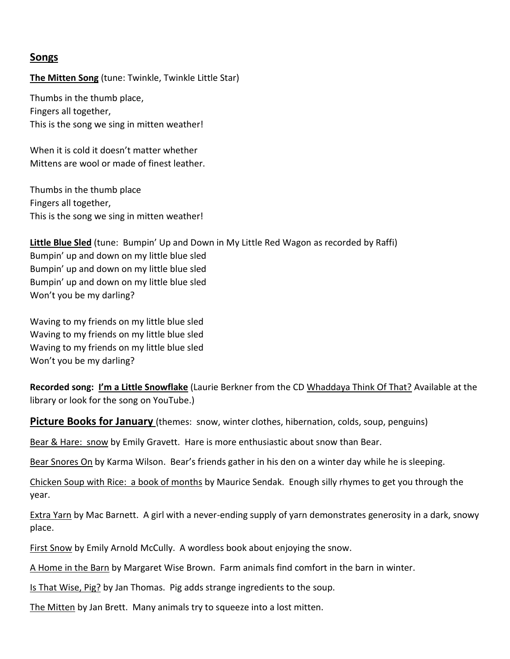## **Songs**

#### **The Mitten Song** (tune: Twinkle, Twinkle Little Star)

Thumbs in the thumb place, Fingers all together, This is the song we sing in mitten weather!

When it is cold it doesn't matter whether Mittens are wool or made of finest leather.

Thumbs in the thumb place Fingers all together, This is the song we sing in mitten weather!

**Little Blue Sled** (tune: Bumpin' Up and Down in My Little Red Wagon as recorded by Raffi) Bumpin' up and down on my little blue sled Bumpin' up and down on my little blue sled Bumpin' up and down on my little blue sled Won't you be my darling?

Waving to my friends on my little blue sled Waving to my friends on my little blue sled Waving to my friends on my little blue sled Won't you be my darling?

**Recorded song: I'm a Little Snowflake** (Laurie Berkner from the CD Whaddaya Think Of That? Available at the library or look for the song on YouTube.)

**Picture Books for January** (themes: snow, winter clothes, hibernation, colds, soup, penguins)

Bear & Hare: snow by Emily Gravett. Hare is more enthusiastic about snow than Bear.

Bear Snores On by Karma Wilson. Bear's friends gather in his den on a winter day while he is sleeping.

Chicken Soup with Rice: a book of months by Maurice Sendak. Enough silly rhymes to get you through the year.

Extra Yarn by Mac Barnett. A girl with a never-ending supply of yarn demonstrates generosity in a dark, snowy place.

First Snow by Emily Arnold McCully. A wordless book about enjoying the snow.

A Home in the Barn by Margaret Wise Brown. Farm animals find comfort in the barn in winter.

Is That Wise, Pig? by Jan Thomas. Pig adds strange ingredients to the soup.

The Mitten by Jan Brett. Many animals try to squeeze into a lost mitten.